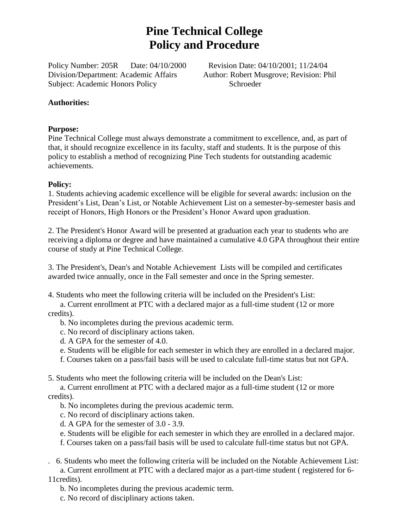# **Pine Technical College Policy and Procedure**

Policy Number: 205R Date: 04/10/2000 Revision Date: 04/10/2001; 11/24/04 Division/Department: Academic Affairs Author: Robert Musgrove; Revision: Phil Subject: Academic Honors Policy Schroeder

#### **Authorities:**

#### **Purpose:**

Pine Technical College must always demonstrate a commitment to excellence, and, as part of that, it should recognize excellence in its faculty, staff and students. It is the purpose of this policy to establish a method of recognizing Pine Tech students for outstanding academic achievements.

#### **Policy:**

1. Students achieving academic excellence will be eligible for several awards: inclusion on the President's List, Dean's List, or Notable Achievement List on a semester-by-semester basis and receipt of Honors, High Honors or the President's Honor Award upon graduation.

2. The President's Honor Award will be presented at graduation each year to students who are receiving a diploma or degree and have maintained a cumulative 4.0 GPA throughout their entire course of study at Pine Technical College.

3. The President's, Dean's and Notable Achievement Lists will be compiled and certificates awarded twice annually, once in the Fall semester and once in the Spring semester.

4. Students who meet the following criteria will be included on the President's List:

 a. Current enrollment at PTC with a declared major as a full-time student (12 or more credits).

b. No incompletes during the previous academic term.

c. No record of disciplinary actions taken.

d. A GPA for the semester of 4.0.

e. Students will be eligible for each semester in which they are enrolled in a declared major.

f. Courses taken on a pass/fail basis will be used to calculate full-time status but not GPA.

5. Students who meet the following criteria will be included on the Dean's List:

 a. Current enrollment at PTC with a declared major as a full-time student (12 or more credits).

b. No incompletes during the previous academic term.

c. No record of disciplinary actions taken.

d. A GPA for the semester of 3.0 - 3.9.

e. Students will be eligible for each semester in which they are enrolled in a declared major.

f. Courses taken on a pass/fail basis will be used to calculate full-time status but not GPA.

. 6. Students who meet the following criteria will be included on the Notable Achievement List:

 a. Current enrollment at PTC with a declared major as a part-time student ( registered for 6- 11credits).

b. No incompletes during the previous academic term.

c. No record of disciplinary actions taken.